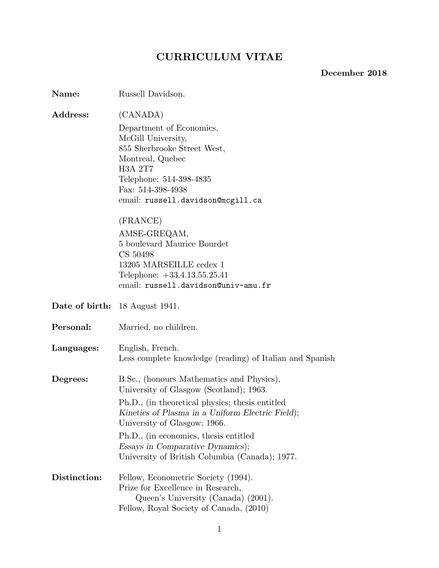# **CURRICULUM VITAE**

# **December 2018**

| Name:          | Russell Davidson.                                                                                                                                                                                                                                                                                                                                                                               |
|----------------|-------------------------------------------------------------------------------------------------------------------------------------------------------------------------------------------------------------------------------------------------------------------------------------------------------------------------------------------------------------------------------------------------|
| Address:       | (CANADA)<br>Department of Economics,<br>McGill University,<br>855 Sherbrooke Street West,<br>Montreal, Quebec<br><b>H3A 2T7</b><br>Telephone: 514-398-4835<br>Fax: 514-398-4938<br>email: russell.davidson@mcgill.ca<br>(FRANCE)<br>AMSE-GREQAM,<br>5 boulevard Maurice Bourdet<br>CS 50498<br>13205 MARSEILLE cedex 1<br>Telephone: $+33.4.13.55.25.41$<br>email: russell.davidson@univ-amu.fr |
| Date of birth: | 18 August 1941.                                                                                                                                                                                                                                                                                                                                                                                 |
| Personal:      | Married, no children.                                                                                                                                                                                                                                                                                                                                                                           |
| Languages:     | English, French.<br>Less complete knowledge (reading) of Italian and Spanish                                                                                                                                                                                                                                                                                                                    |
| Degrees:       | B.Sc., (honours Mathematics and Physics),<br>University of Glasgow (Scotland); 1963.<br>Ph.D., (in theoretical physics; thesis entitled<br>Kinetics of Plasma in a Uniform Electric Field);<br>University of Glasgow; 1966.<br>Ph.D., (in economics, thesis entitled<br>Essays in Comparative Dynamics);<br>University of British Columbia (Canada); 1977.                                      |
| Distinction:   | Fellow, Econometric Society (1994).<br>Prize for Excellence in Research,<br>Queen's University (Canada) (2001).<br>Fellow, Royal Society of Canada, (2010)                                                                                                                                                                                                                                      |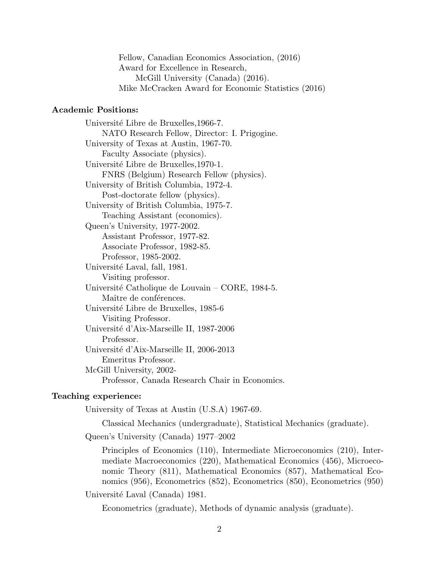Fellow, Canadian Economics Association, (2016) Award for Excellence in Research, McGill University (Canada) (2016). Mike McCracken Award for Economic Statistics (2016)

# **Academic Positions:**

Université Libre de Bruxelles, 1966-7. NATO Research Fellow, Director: I. Prigogine. University of Texas at Austin, 1967-70. Faculty Associate (physics). Université Libre de Bruxelles, 1970-1. FNRS (Belgium) Research Fellow (physics). University of British Columbia, 1972-4. Post-doctorate fellow (physics). University of British Columbia, 1975-7. Teaching Assistant (economics). Queen's University, 1977-2002. Assistant Professor, 1977-82. Associate Professor, 1982-85. Professor, 1985-2002. Université Laval, fall, 1981. Visiting professor. Université Catholique de Louvain – CORE, 1984-5. Maître de conférences. Université Libre de Bruxelles, 1985-6 Visiting Professor. Université d'Aix-Marseille II, 1987-2006 Professor. Université d'Aix-Marseille II, 2006-2013 Emeritus Professor. McGill University, 2002- Professor, Canada Research Chair in Economics.

### **Teaching experience:**

University of Texas at Austin (U.S.A) 1967-69.

Classical Mechanics (undergraduate), Statistical Mechanics (graduate).

Queen's University (Canada) 1977–2002

Principles of Economics (110), Intermediate Microeconomics (210), Intermediate Macroeconomics (220), Mathematical Economics (456), Microeconomic Theory (811), Mathematical Economics (857), Mathematical Economics (956), Econometrics (852), Econometrics (850), Econometrics (950)

Université Laval (Canada) 1981.

Econometrics (graduate), Methods of dynamic analysis (graduate).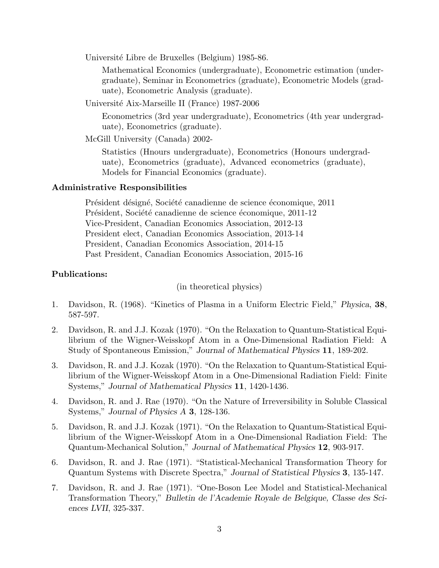Université Libre de Bruxelles (Belgium) 1985-86.

Mathematical Economics (undergraduate), Econometric estimation (undergraduate), Seminar in Econometrics (graduate), Econometric Models (graduate), Econometric Analysis (graduate).

Universit´e Aix-Marseille II (France) 1987-2006

Econometrics (3rd year undergraduate), Econometrics (4th year undergraduate), Econometrics (graduate).

McGill University (Canada) 2002-

Statistics (Hnours undergraduate), Econometrics (Honours undergraduate), Econometrics (graduate), Advanced econometrics (graduate), Models for Financial Economics (graduate).

#### **Administrative Responsibilities**

Président désigné, Société canadienne de science économique, 2011 Président, Société canadienne de science économique, 2011-12 Vice-President, Canadian Economics Association, 2012-13 President elect, Canadian Economics Association, 2013-14 President, Canadian Economics Association, 2014-15 Past President, Canadian Economics Association, 2015-16

## **Publications:**

(in theoretical physics)

- 1. Davidson, R. (1968). "Kinetics of Plasma in a Uniform Electric Field," *Physica*, **38**, 587-597.
- 2. Davidson, R. and J.J. Kozak (1970). "On the Relaxation to Quantum-Statistical Equilibrium of the Wigner-Weisskopf Atom in a One-Dimensional Radiation Field: A Study of Spontaneous Emission," *Journal of Mathematical Physics* **11**, 189-202.
- 3. Davidson, R. and J.J. Kozak (1970). "On the Relaxation to Quantum-Statistical Equilibrium of the Wigner-Weisskopf Atom in a One-Dimensional Radiation Field: Finite Systems," *Journal of Mathematical Physics* **11**, 1420-1436.
- 4. Davidson, R. and J. Rae (1970). "On the Nature of Irreversibility in Soluble Classical Systems," *Journal of Physics A* **3**, 128-136.
- 5. Davidson, R. and J.J. Kozak (1971). "On the Relaxation to Quantum-Statistical Equilibrium of the Wigner-Weisskopf Atom in a One-Dimensional Radiation Field: The Quantum-Mechanical Solution," *Journal of Mathematical Physics* **12**, 903-917.
- 6. Davidson, R. and J. Rae (1971). "Statistical-Mechanical Transformation Theory for Quantum Systems with Discrete Spectra," *Journal of Statistical Physics* **3**, 135-147.
- 7. Davidson, R. and J. Rae (1971). "One-Boson Lee Model and Statistical-Mechanical Transformation Theory," *Bulletin de l'Academie Royale de Belgique, Classe des Sciences LVII*, 325-337.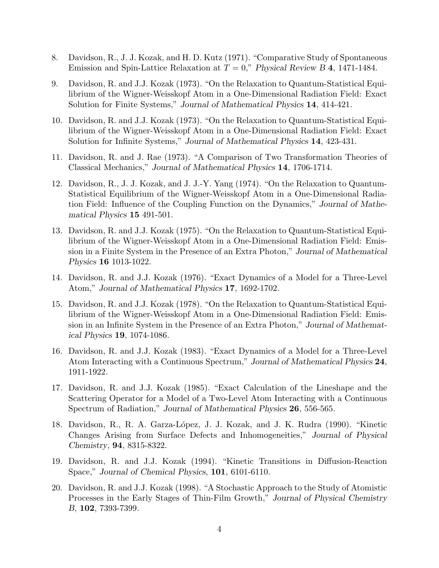- 8. Davidson, R., J. J. Kozak, and H. D. Kutz (1971). "Comparative Study of Spontaneous Emission and Spin-Lattice Relaxation at  $T = 0$ ," *Physical Review B* 4, 1471-1484.
- 9. Davidson, R. and J.J. Kozak (1973). "On the Relaxation to Quantum-Statistical Equilibrium of the Wigner-Weisskopf Atom in a One-Dimensional Radiation Field: Exact Solution for Finite Systems," *Journal of Mathematical Physics* **14**, 414-421.
- 10. Davidson, R. and J.J. Kozak (1973). "On the Relaxation to Quantum-Statistical Equilibrium of the Wigner-Weisskopf Atom in a One-Dimensional Radiation Field: Exact Solution for Infinite Systems," *Journal of Mathematical Physics* **14**, 423-431.
- 11. Davidson, R. and J. Rae (1973). "A Comparison of Two Transformation Theories of Classical Mechanics," *Journal of Mathematical Physics* **14**, 1706-1714.
- 12. Davidson, R., J. J. Kozak, and J. J.-Y. Yang (1974). "On the Relaxation to Quantum-Statistical Equilibrium of the Wigner-Weisskopf Atom in a One-Dimensional Radiation Field: Influence of the Coupling Function on the Dynamics," *Journal of Mathematical Physics* **15** 491-501.
- 13. Davidson, R. and J.J. Kozak (1975). "On the Relaxation to Quantum-Statistical Equilibrium of the Wigner-Weisskopf Atom in a One-Dimensional Radiation Field: Emission in a Finite System in the Presence of an Extra Photon," *Journal of Mathematical Physics* **16** 1013-1022.
- 14. Davidson, R. and J.J. Kozak (1976). "Exact Dynamics of a Model for a Three-Level Atom," *Journal of Mathematical Physics* **17**, 1692-1702.
- 15. Davidson, R. and J.J. Kozak (1978). "On the Relaxation to Quantum-Statistical Equilibrium of the Wigner-Weisskopf Atom in a One-Dimensional Radiation Field: Emission in an Infinite System in the Presence of an Extra Photon," *Journal of Mathematical Physics* **19**, 1074-1086.
- 16. Davidson, R. and J.J. Kozak (1983). "Exact Dynamics of a Model for a Three-Level Atom Interacting with a Continuous Spectrum," *Journal of Mathematical Physics* **24**, 1911-1922.
- 17. Davidson, R. and J.J. Kozak (1985). "Exact Calculation of the Lineshape and the Scattering Operator for a Model of a Two-Level Atom Interacting with a Continuous Spectrum of Radiation," *Journal of Mathematical Physics* **26**, 556-565.
- 18. Davidson, R., R. A. Garza-López, J. J. Kozak, and J. K. Rudra (1990). "Kinetic Changes Arising from Surface Defects and Inhomogeneities," *Journal of Physical Chemistry*, **94**, 8315-8322.
- 19. Davidson, R. and J.J. Kozak (1994). "Kinetic Transitions in Diffusion-Reaction Space," *Journal of Chemical Physics*, **101**, 6101-6110.
- 20. Davidson, R. and J.J. Kozak (1998). "A Stochastic Approach to the Study of Atomistic Processes in the Early Stages of Thin-Film Growth," *Journal of Physical Chemistry B*, **102**, 7393-7399.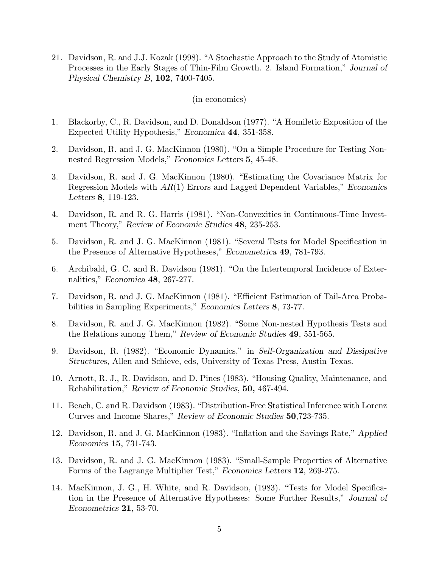21. Davidson, R. and J.J. Kozak (1998). "A Stochastic Approach to the Study of Atomistic Processes in the Early Stages of Thin-Film Growth. 2. Island Formation," *Journal of Physical Chemistry B*, **102**, 7400-7405.

(in economics)

- 1. Blackorby, C., R. Davidson, and D. Donaldson (1977). "A Homiletic Exposition of the Expected Utility Hypothesis," *Economica* **44**, 351-358.
- 2. Davidson, R. and J. G. MacKinnon (1980). "On a Simple Procedure for Testing Nonnested Regression Models," *Economics Letters* **5**, 45-48.
- 3. Davidson, R. and J. G. MacKinnon (1980). "Estimating the Covariance Matrix for Regression Models with *AR*(1) Errors and Lagged Dependent Variables," *Economics Letters* **8**, 119-123.
- 4. Davidson, R. and R. G. Harris (1981). "Non-Convexities in Continuous-Time Investment Theory," *Review of Economic Studies* **48**, 235-253.
- 5. Davidson, R. and J. G. MacKinnon (1981). "Several Tests for Model Specification in the Presence of Alternative Hypotheses," *Econometrica* **49**, 781-793.
- 6. Archibald, G. C. and R. Davidson (1981). "On the Intertemporal Incidence of Externalities," *Economica* **48**, 267-277.
- 7. Davidson, R. and J. G. MacKinnon (1981). "Efficient Estimation of Tail-Area Probabilities in Sampling Experiments," *Economics Letters* **8**, 73-77.
- 8. Davidson, R. and J. G. MacKinnon (1982). "Some Non-nested Hypothesis Tests and the Relations among Them," *Review of Economic Studies* **49**, 551-565.
- 9. Davidson, R. (1982). "Economic Dynamics," in *Self-Organization and Dissipative Structures*, Allen and Schieve, eds, University of Texas Press, Austin Texas.
- 10. Arnott, R. J., R. Davidson, and D. Pines (1983). "Housing Quality, Maintenance, and Rehabilitation," *Review of Economic Studies*, **50,** 467-494.
- 11. Beach, C. and R. Davidson (1983). "Distribution-Free Statistical Inference with Lorenz Curves and Income Shares," *Review of Economic Studies* **50**,723-735.
- 12. Davidson, R. and J. G. MacKinnon (1983). "Inflation and the Savings Rate," *Applied Economics* **15**, 731-743.
- 13. Davidson, R. and J. G. MacKinnon (1983). "Small-Sample Properties of Alternative Forms of the Lagrange Multiplier Test," *Economics Letters* **12**, 269-275.
- 14. MacKinnon, J. G., H. White, and R. Davidson, (1983). "Tests for Model Specification in the Presence of Alternative Hypotheses: Some Further Results," *Journal of Econometrics* **21**, 53-70.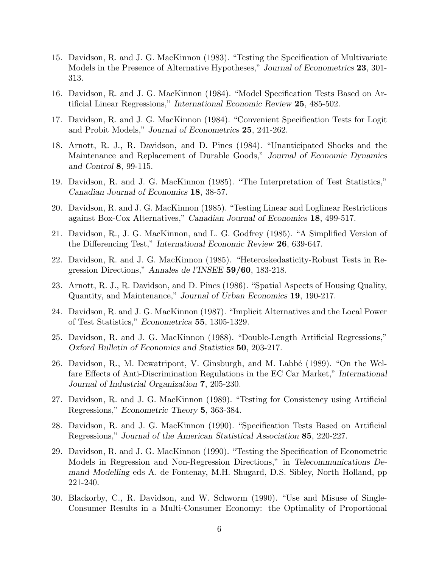- 15. Davidson, R. and J. G. MacKinnon (1983). "Testing the Specification of Multivariate Models in the Presence of Alternative Hypotheses," *Journal of Econometrics* **23**, 301- 313.
- 16. Davidson, R. and J. G. MacKinnon (1984). "Model Specification Tests Based on Artificial Linear Regressions," *International Economic Review* **25**, 485-502.
- 17. Davidson, R. and J. G. MacKinnon (1984). "Convenient Specification Tests for Logit and Probit Models," *Journal of Econometrics* **25**, 241-262.
- 18. Arnott, R. J., R. Davidson, and D. Pines (1984). "Unanticipated Shocks and the Maintenance and Replacement of Durable Goods," *Journal of Economic Dynamics and Control* **8**, 99-115.
- 19. Davidson, R. and J. G. MacKinnon (1985). "The Interpretation of Test Statistics," *Canadian Journal of Economics* **18**, 38-57.
- 20. Davidson, R. and J. G. MacKinnon (1985). "Testing Linear and Loglinear Restrictions against Box-Cox Alternatives," *Canadian Journal of Economics* **18**, 499-517.
- 21. Davidson, R., J. G. MacKinnon, and L. G. Godfrey (1985). "A Simplified Version of the Differencing Test," *International Economic Review* **26**, 639-647.
- 22. Davidson, R. and J. G. MacKinnon (1985). "Heteroskedasticity-Robust Tests in Regression Directions," *Annales de l'INSEE* **59/60**, 183-218.
- 23. Arnott, R. J., R. Davidson, and D. Pines (1986). "Spatial Aspects of Housing Quality, Quantity, and Maintenance," *Journal of Urban Economics* **19**, 190-217.
- 24. Davidson, R. and J. G. MacKinnon (1987). "Implicit Alternatives and the Local Power of Test Statistics," *Econometrica* **55**, 1305-1329.
- 25. Davidson, R. and J. G. MacKinnon (1988). "Double-Length Artificial Regressions," *Oxford Bulletin of Economics and Statistics* **50**, 203-217.
- 26. Davidson, R., M. Dewatripont, V. Ginsburgh, and M. Labbé (1989). "On the Welfare Effects of Anti-Discrimination Regulations in the EC Car Market," *International Journal of Industrial Organization* **7**, 205-230.
- 27. Davidson, R. and J. G. MacKinnon (1989). "Testing for Consistency using Artificial Regressions," *Econometric Theory* **5**, 363-384.
- 28. Davidson, R. and J. G. MacKinnon (1990). "Specification Tests Based on Artificial Regressions," *Journal of the American Statistical Association* **85**, 220-227.
- 29. Davidson, R. and J. G. MacKinnon (1990). "Testing the Specification of Econometric Models in Regression and Non-Regression Directions," in *Telecommunications Demand Modelling* eds A. de Fontenay, M.H. Shugard, D.S. Sibley, North Holland, pp 221-240.
- 30. Blackorby, C., R. Davidson, and W. Schworm (1990). "Use and Misuse of Single-Consumer Results in a Multi-Consumer Economy: the Optimality of Proportional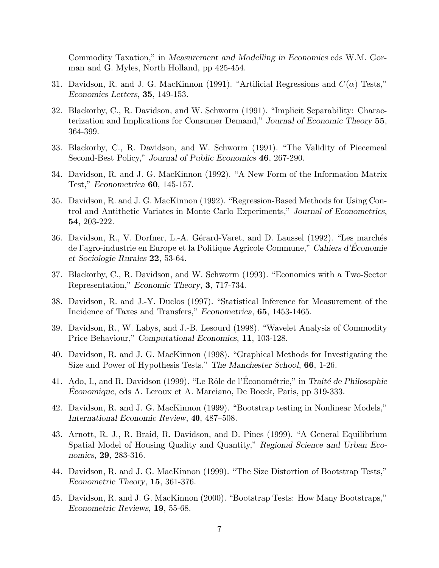Commodity Taxation," in *Measurement and Modelling in Economics* eds W.M. Gorman and G. Myles, North Holland, pp 425-454.

- 31. Davidson, R. and J. G. MacKinnon (1991). "Artificial Regressions and  $C(\alpha)$  Tests," *Economics Letters*, **35**, 149-153.
- 32. Blackorby, C., R. Davidson, and W. Schworm (1991). "Implicit Separability: Characterization and Implications for Consumer Demand," *Journal of Economic Theory* **55**, 364-399.
- 33. Blackorby, C., R. Davidson, and W. Schworm (1991). "The Validity of Piecemeal Second-Best Policy," *Journal of Public Economics* **46**, 267-290.
- 34. Davidson, R. and J. G. MacKinnon (1992). "A New Form of the Information Matrix Test," *Econometrica* **60**, 145-157.
- 35. Davidson, R. and J. G. MacKinnon (1992). "Regression-Based Methods for Using Control and Antithetic Variates in Monte Carlo Experiments," *Journal of Econometrics*, **54**, 203-222.
- 36. Davidson, R., V. Dorfner, L.-A. Gérard-Varet, and D. Laussel (1992). "Les marchés de l'agro-industrie en Europe et la Politique Agricole Commune," *Cahiers d'Economie ´ et Sociologie Rurales* **22**, 53-64.
- 37. Blackorby, C., R. Davidson, and W. Schworm (1993). "Economies with a Two-Sector Representation," *Economic Theory*, **3**, 717-734.
- 38. Davidson, R. and J.-Y. Duclos (1997). "Statistical Inference for Measurement of the Incidence of Taxes and Transfers," *Econometrica*, **65**, 1453-1465.
- 39. Davidson, R., W. Labys, and J.-B. Lesourd (1998). "Wavelet Analysis of Commodity Price Behaviour," *Computational Economics*, **11**, 103-128.
- 40. Davidson, R. and J. G. MacKinnon (1998). "Graphical Methods for Investigating the Size and Power of Hypothesis Tests," *The Manchester School*, **66**, 1-26.
- 41. Ado, I., and R. Davidson (1999). "Le Rôle de l'Économétrie," in *Traité de Philosophie Economique*, eds A. Leroux et A. Marciano, De Boeck, Paris, pp 319-333.
- 42. Davidson, R. and J. G. MacKinnon (1999). "Bootstrap testing in Nonlinear Models," *International Economic Review*, **40**, 487–508.
- 43. Arnott, R. J., R. Braid, R. Davidson, and D. Pines (1999). "A General Equilibrium Spatial Model of Housing Quality and Quantity," *Regional Science and Urban Economics*, **29**, 283-316.
- 44. Davidson, R. and J. G. MacKinnon (1999). "The Size Distortion of Bootstrap Tests," *Econometric Theory*, **15**, 361-376.
- 45. Davidson, R. and J. G. MacKinnon (2000). "Bootstrap Tests: How Many Bootstraps," *Econometric Reviews*, **19**, 55-68.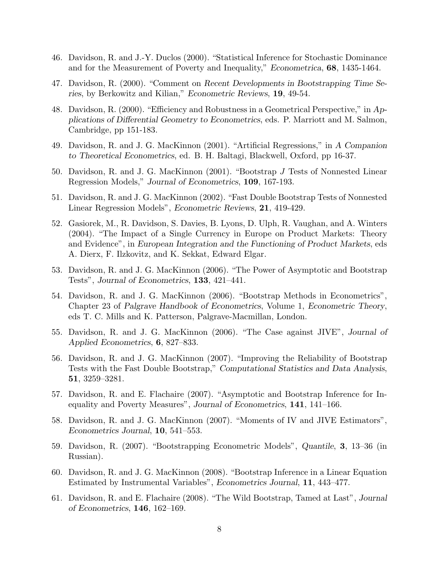- 46. Davidson, R. and J.-Y. Duclos (2000). "Statistical Inference for Stochastic Dominance and for the Measurement of Poverty and Inequality," *Econometrica*, **68**, 1435-1464.
- 47. Davidson, R. (2000). "Comment on *Recent Developments in Bootstrapping Time Series*, by Berkowitz and Kilian," *Econometric Reviews*, **19**, 49-54.
- 48. Davidson, R. (2000). "Efficiency and Robustness in a Geometrical Perspective," in *Applications of Differential Geometry to Econometrics*, eds. P. Marriott and M. Salmon, Cambridge, pp 151-183.
- 49. Davidson, R. and J. G. MacKinnon (2001). "Artificial Regressions," in *A Companion to Theoretical Econometrics*, ed. B. H. Baltagi, Blackwell, Oxford, pp 16-37.
- 50. Davidson, R. and J. G. MacKinnon (2001). "Bootstrap *J* Tests of Nonnested Linear Regression Models," *Journal of Econometrics*, **109**, 167-193.
- 51. Davidson, R. and J. G. MacKinnon (2002). "Fast Double Bootstrap Tests of Nonnested Linear Regression Models", *Econometric Reviews*, **21**, 419-429.
- 52. Gasiorek, M., R. Davidson, S. Davies, B. Lyons, D. Ulph, R. Vaughan, and A. Winters (2004). "The Impact of a Single Currency in Europe on Product Markets: Theory and Evidence", in *European Integration and the Functioning of Product Markets*, eds A. Dierx, F. Ilzkovitz, and K. Sekkat, Edward Elgar.
- 53. Davidson, R. and J. G. MacKinnon (2006). "The Power of Asymptotic and Bootstrap Tests", *Journal of Econometrics*, **133**, 421–441.
- 54. Davidson, R. and J. G. MacKinnon (2006). "Bootstrap Methods in Econometrics", Chapter 23 of *Palgrave Handbook of Econometrics*, Volume 1, *Econometric Theory*, eds T. C. Mills and K. Patterson, Palgrave-Macmillan, London.
- 55. Davidson, R. and J. G. MacKinnon (2006). "The Case against JIVE", *Journal of Applied Econometrics*, **6**, 827–833.
- 56. Davidson, R. and J. G. MacKinnon (2007). "Improving the Reliability of Bootstrap Tests with the Fast Double Bootstrap," *Computational Statistics and Data Analysis*, **51**, 3259–3281.
- 57. Davidson, R. and E. Flachaire (2007). "Asymptotic and Bootstrap Inference for Inequality and Poverty Measures", *Journal of Econometrics*, **141**, 141–166.
- 58. Davidson, R. and J. G. MacKinnon (2007). "Moments of IV and JIVE Estimators", *Econometrics Journal*, **10**, 541–553.
- 59. Davidson, R. (2007). "Bootstrapping Econometric Models", *Quantile*, **3**, 13–36 (in Russian).
- 60. Davidson, R. and J. G. MacKinnon (2008). "Bootstrap Inference in a Linear Equation Estimated by Instrumental Variables", *Econometrics Journal*, **11**, 443–477.
- 61. Davidson, R. and E. Flachaire (2008). "The Wild Bootstrap, Tamed at Last", *Journal of Econometrics*, **146**, 162–169.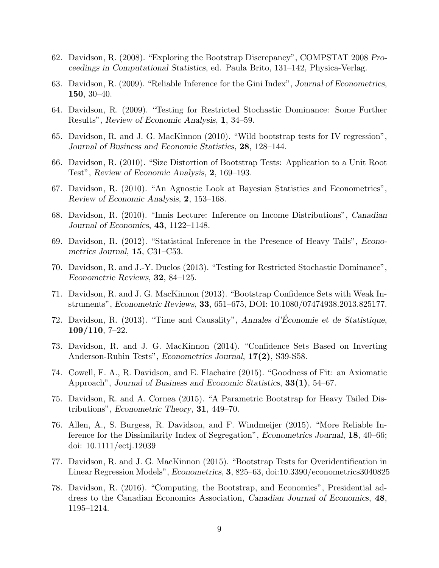- 62. Davidson, R. (2008). "Exploring the Bootstrap Discrepancy", COMPSTAT 2008 *Proceedings in Computational Statistics*, ed. Paula Brito, 131–142, Physica-Verlag.
- 63. Davidson, R. (2009). "Reliable Inference for the Gini Index", *Journal of Econometrics*, **150**, 30–40.
- 64. Davidson, R. (2009). "Testing for Restricted Stochastic Dominance: Some Further Results", *Review of Economic Analysis*, **1**, 34–59.
- 65. Davidson, R. and J. G. MacKinnon (2010). "Wild bootstrap tests for IV regression", *Journal of Business and Economic Statistics*, **28**, 128–144.
- 66. Davidson, R. (2010). "Size Distortion of Bootstrap Tests: Application to a Unit Root Test", *Review of Economic Analysis*, **2**, 169–193.
- 67. Davidson, R. (2010). "An Agnostic Look at Bayesian Statistics and Econometrics", *Review of Economic Analysis*, **2**, 153–168.
- 68. Davidson, R. (2010). "Innis Lecture: Inference on Income Distributions", *Canadian Journal of Economics*, **43**, 1122–1148.
- 69. Davidson, R. (2012). "Statistical Inference in the Presence of Heavy Tails", *Econometrics Journal*, **15**, C31–C53.
- 70. Davidson, R. and J.-Y. Duclos (2013). "Testing for Restricted Stochastic Dominance", *Econometric Reviews*, **32**, 84–125.
- 71. Davidson, R. and J. G. MacKinnon (2013). "Bootstrap Confidence Sets with Weak Instruments", *Econometric Reviews*, **33**, 651–675, DOI: 10.1080/07474938.2013.825177.
- 72. Davidson, R. (2013). "Time and Causality", *Annales d'Économie et de Statistique*, **109/110**, 7–22.
- 73. Davidson, R. and J. G. MacKinnon (2014). "Confidence Sets Based on Inverting Anderson-Rubin Tests", *Econometrics Journal*, **17(2)**, S39-S58.
- 74. Cowell, F. A., R. Davidson, and E. Flachaire (2015). "Goodness of Fit: an Axiomatic Approach", *Journal of Business and Economic Statistics*, **33(1)**, 54–67.
- 75. Davidson, R. and A. Cornea (2015). "A Parametric Bootstrap for Heavy Tailed Distributions", *Econometric Theory*, **31**, 449–70.
- 76. Allen, A., S. Burgess, R. Davidson, and F. Windmeijer (2015). "More Reliable Inference for the Dissimilarity Index of Segregation", *Econometrics Journal*, **18**, 40–66; doi: 10.1111/ectj.12039
- 77. Davidson, R. and J. G. MacKinnon (2015). "Bootstrap Tests for Overidentification in Linear Regression Models", *Econometrics*, **3**, 825–63, doi:10.3390/econometrics3040825
- 78. Davidson, R. (2016). "Computing, the Bootstrap, and Economics", Presidential address to the Canadian Economics Association, *Canadian Journal of Economics*, **48**, 1195–1214.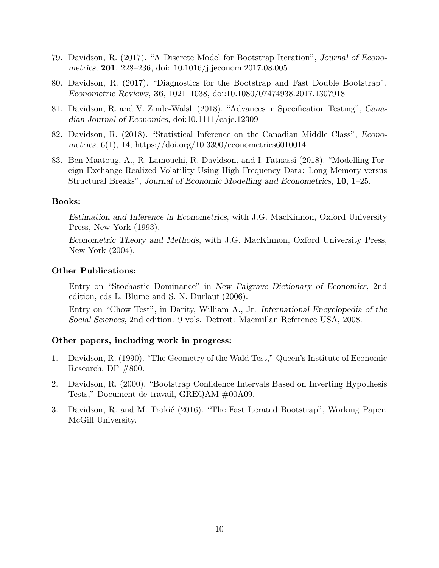- 79. Davidson, R. (2017). "A Discrete Model for Bootstrap Iteration", *Journal of Econometrics*, **201**, 228–236, doi: 10.1016/j.jeconom.2017.08.005
- 80. Davidson, R. (2017). "Diagnostics for the Bootstrap and Fast Double Bootstrap", *Econometric Reviews*, **36**, 1021–1038, doi:10.1080/07474938.2017.1307918
- 81. Davidson, R. and V. Zinde-Walsh (2018). "Advances in Specification Testing", *Canadian Journal of Economics*, doi:10.1111/caje.12309
- 82. Davidson, R. (2018). "Statistical Inference on the Canadian Middle Class", *Econometrics*, 6(1), 14; https://doi.org/10.3390/econometrics6010014
- 83. Ben Maatoug, A., R. Lamouchi, R. Davidson, and I. Fatnassi (2018). "Modelling Foreign Exchange Realized Volatility Using High Frequency Data: Long Memory versus Structural Breaks", *Journal of Economic Modelling and Econometrics*, **10**, 1–25.

# **Books:**

*Estimation and Inference in Econometrics*, with J.G. MacKinnon, Oxford University Press, New York (1993).

*Econometric Theory and Methods*, with J.G. MacKinnon, Oxford University Press, New York (2004).

#### **Other Publications:**

Entry on "Stochastic Dominance" in *New Palgrave Dictionary of Economics*, 2nd edition, eds L. Blume and S. N. Durlauf (2006).

Entry on "Chow Test", in Darity, William A., Jr. *International Encyclopedia of the Social Sciences*, 2nd edition. 9 vols. Detroit: Macmillan Reference USA, 2008.

# **Other papers, including work in progress:**

- 1. Davidson, R. (1990). "The Geometry of the Wald Test," Queen's Institute of Economic Research, DP  $\#800$ .
- 2. Davidson, R. (2000). "Bootstrap Confidence Intervals Based on Inverting Hypothesis Tests," Document de travail, GREQAM #00A09.
- 3. Davidson, R. and M. Trokić (2016). "The Fast Iterated Bootstrap", Working Paper, McGill University.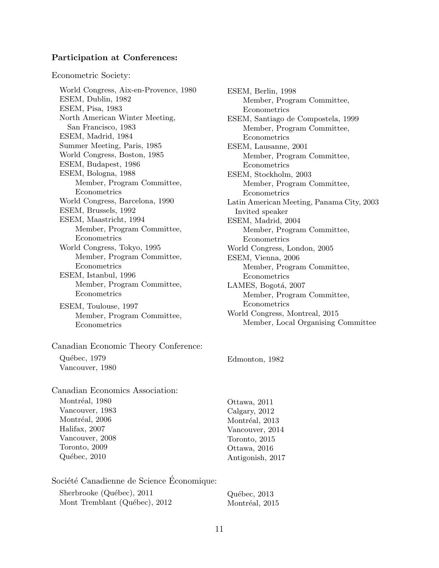### **Participation at Conferences:**

Econometric Society:

World Congress, Aix-en-Provence, 1980 ESEM, Dublin, 1982 ESEM, Pisa, 1983 North American Winter Meeting, San Francisco, 1983 ESEM, Madrid, 1984 Summer Meeting, Paris, 1985 World Congress, Boston, 1985 ESEM, Budapest, 1986 ESEM, Bologna, 1988 Member, Program Committee, Econometrics World Congress, Barcelona, 1990 ESEM, Brussels, 1992 ESEM, Maastricht, 1994 Member, Program Committee, Econometrics World Congress, Tokyo, 1995 Member, Program Committee, Econometrics ESEM, Istanbul, 1996 Member, Program Committee, Econometrics

ESEM, Toulouse, 1997 Member, Program Committee, Econometrics

Canadian Economic Theory Conference: Québec, 1979 Vancouver, 1980

Canadian Economics Association: Montréal, 1980 Vancouver, 1983 Montréal, 2006 Halifax, 2007 Vancouver, 2008 Toronto, 2009 Québec, 2010

Société Canadienne de Science Économique: Sherbrooke (Québec), 2011 Mont Tremblant (Québec), 2012

ESEM, Berlin, 1998 Member, Program Committee, Econometrics ESEM, Santiago de Compostela, 1999 Member, Program Committee, Econometrics ESEM, Lausanne, 2001 Member, Program Committee, Econometrics ESEM, Stockholm, 2003 Member, Program Committee, Econometrics Latin American Meeting, Panama City, 2003 Invited speaker ESEM, Madrid, 2004 Member, Program Committee, Econometrics World Congress, London, 2005 ESEM, Vienna, 2006 Member, Program Committee, Econometrics LAMES, Bogotá, 2007 Member, Program Committee, Econometrics World Congress, Montreal, 2015 Member, Local Organising Committee

Edmonton, 1982

Ottawa, 2011 Calgary, 2012 Montréal, 2013 Vancouver, 2014 Toronto, 2015 Ottawa, 2016 Antigonish, 2017

Québec, 2013 Montréal, 2015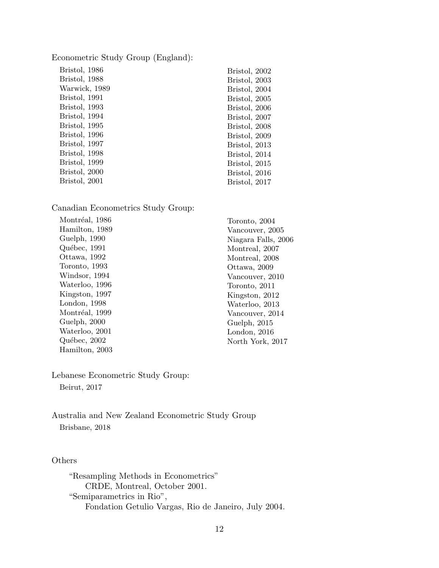Econometric Study Group (England):

| Bristol, 1986 | Bristol, 2002 |
|---------------|---------------|
| Bristol, 1988 | Bristol, 2003 |
| Warwick, 1989 | Bristol, 2004 |
| Bristol, 1991 | Bristol, 2005 |
| Bristol, 1993 | Bristol, 2006 |
| Bristol, 1994 | Bristol, 2007 |
| Bristol, 1995 | Bristol, 2008 |
| Bristol, 1996 | Bristol, 2009 |
| Bristol, 1997 | Bristol, 2013 |
| Bristol, 1998 | Bristol, 2014 |
| Bristol, 1999 | Bristol, 2015 |
| Bristol, 2000 | Bristol, 2016 |
| Bristol, 2001 | Bristol, 2017 |
|               |               |

Canadian Econometrics Study Group:

| Montréal, 1986 |  |
|----------------|--|
| Hamilton, 1989 |  |
| Guelph, 1990   |  |
| Québec, 1991   |  |
| Ottawa, 1992   |  |
| Toronto, 1993  |  |
| Windsor, 1994  |  |
| Waterloo, 1996 |  |
| Kingston, 1997 |  |
| London, 1998   |  |
| Montréal, 1999 |  |
| Guelph, 2000   |  |
| Waterloo, 2001 |  |
| Québec, 2002   |  |
| Hamilton, 2003 |  |
|                |  |

Toronto, 2004 Vancouver, 2005 Niagara Falls, 2006 Montreal, 2007 Montreal, 2008 Ottawa, 2009 Vancouver, 2010 Toronto, 2011 Kingston, 2012 Waterloo, 2013 Vancouver, 2014 Guelph, 2015 London, 2016 North York, 2017

Lebanese Econometric Study Group:

Beirut, 2017

Australia and New Zealand Econometric Study Group Brisbane, 2018

# **Others**

"Resampling Methods in Econometrics" CRDE, Montreal, October 2001. "Semiparametrics in Rio", Fondation Getulio Vargas, Rio de Janeiro, July 2004.